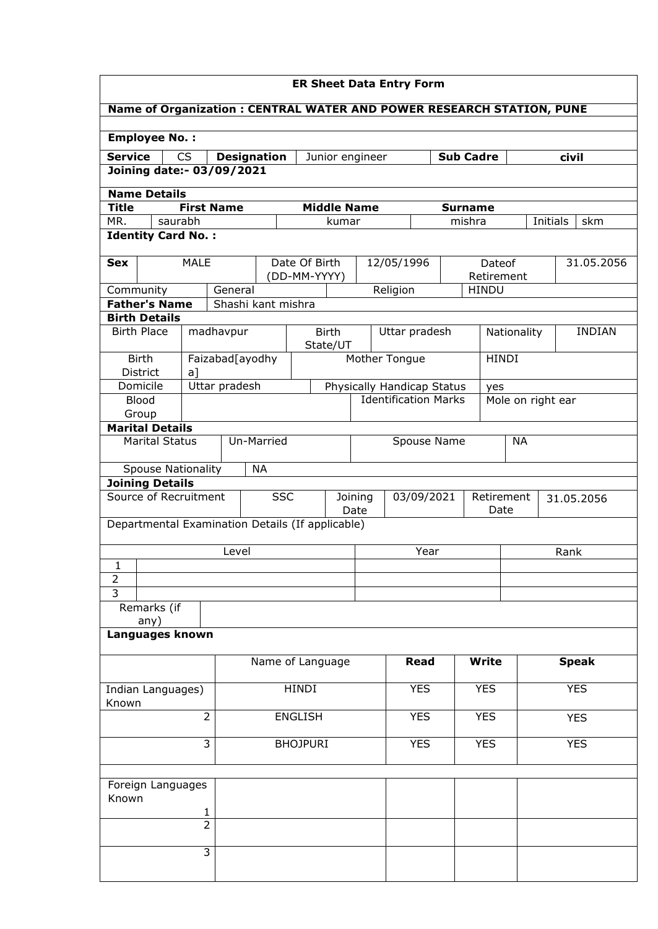| <b>ER Sheet Data Entry Form</b>                                       |                                                                                 |                    |            |                               |                          |                                  |            |                                    |                |              |                   |                 |
|-----------------------------------------------------------------------|---------------------------------------------------------------------------------|--------------------|------------|-------------------------------|--------------------------|----------------------------------|------------|------------------------------------|----------------|--------------|-------------------|-----------------|
| Name of Organization : CENTRAL WATER AND POWER RESEARCH STATION, PUNE |                                                                                 |                    |            |                               |                          |                                  |            |                                    |                |              |                   |                 |
|                                                                       |                                                                                 |                    |            |                               |                          |                                  |            |                                    |                |              |                   |                 |
| <b>Employee No.:</b>                                                  |                                                                                 |                    |            |                               |                          |                                  |            |                                    |                |              |                   |                 |
| <b>Service</b>                                                        | <b>CS</b><br><b>Designation</b><br><b>Sub Cadre</b><br>Junior engineer<br>civil |                    |            |                               |                          |                                  |            |                                    |                |              |                   |                 |
| Joining date:- 03/09/2021                                             |                                                                                 |                    |            |                               |                          |                                  |            |                                    |                |              |                   |                 |
| <b>Name Details</b>                                                   |                                                                                 |                    |            |                               |                          |                                  |            |                                    |                |              |                   |                 |
| <b>Title</b>                                                          | <b>First Name</b>                                                               |                    |            | <b>Middle Name</b>            |                          |                                  |            |                                    | <b>Surname</b> |              |                   |                 |
| MR.<br>saurabh                                                        |                                                                                 |                    |            |                               | kumar                    |                                  |            |                                    | mishra         |              |                   | Initials<br>skm |
| <b>Identity Card No.:</b>                                             |                                                                                 |                    |            |                               |                          |                                  |            |                                    |                |              |                   |                 |
| <b>Sex</b>                                                            | <b>MALE</b>                                                                     |                    |            | Date Of Birth<br>(DD-MM-YYYY) |                          |                                  |            | 12/05/1996<br>Dateof<br>Retirement |                |              |                   | 31.05.2056      |
| Community                                                             |                                                                                 | General            |            | Religion                      |                          |                                  |            |                                    |                | <b>HINDU</b> |                   |                 |
| <b>Father's Name</b>                                                  |                                                                                 | Shashi kant mishra |            |                               |                          |                                  |            |                                    |                |              |                   |                 |
| <b>Birth Details</b>                                                  |                                                                                 |                    |            |                               |                          |                                  |            |                                    |                |              |                   |                 |
| <b>Birth Place</b>                                                    |                                                                                 | madhavpur          |            | <b>Birth</b><br>State/UT      |                          |                                  |            | Uttar pradesh                      |                | Nationality  |                   | <b>INDIAN</b>   |
| <b>Birth</b><br><b>District</b>                                       | a]                                                                              | Faizabad[ayodhy    |            |                               |                          | Mother Tongue                    |            |                                    |                | <b>HINDI</b> |                   |                 |
| Domicile                                                              |                                                                                 | Uttar pradesh      |            |                               |                          |                                  |            | Physically Handicap Status         |                | yes          |                   |                 |
| <b>Blood</b>                                                          |                                                                                 |                    |            |                               |                          |                                  |            | <b>Identification Marks</b>        |                |              | Mole on right ear |                 |
| Group                                                                 |                                                                                 |                    |            |                               |                          |                                  |            |                                    |                |              |                   |                 |
| <b>Marital Details</b>                                                |                                                                                 |                    |            |                               |                          |                                  |            |                                    |                |              |                   |                 |
| <b>Marital Status</b>                                                 |                                                                                 |                    | Un-Married |                               |                          |                                  |            | Spouse Name                        |                |              | <b>NA</b>         |                 |
| <b>Spouse Nationality</b>                                             |                                                                                 |                    | <b>NA</b>  |                               |                          |                                  |            |                                    |                |              |                   |                 |
| <b>Joining Details</b>                                                |                                                                                 |                    |            |                               |                          |                                  |            |                                    |                |              |                   |                 |
| Source of Recruitment                                                 |                                                                                 |                    | <b>SSC</b> |                               | Joining<br>Date          | 03/09/2021<br>Retirement<br>Date |            |                                    | 31.05.2056     |              |                   |                 |
| Departmental Examination Details (If applicable)                      |                                                                                 |                    |            |                               |                          |                                  |            |                                    |                |              |                   |                 |
|                                                                       |                                                                                 | Level              |            |                               |                          |                                  |            | Year                               |                |              |                   | Rank            |
| 1                                                                     |                                                                                 |                    |            |                               |                          |                                  |            |                                    |                |              |                   |                 |
| $\overline{2}$                                                        |                                                                                 |                    |            |                               |                          |                                  |            |                                    |                |              |                   |                 |
| $\overline{3}$                                                        |                                                                                 |                    |            |                               |                          |                                  |            |                                    |                |              |                   |                 |
| Remarks (if                                                           |                                                                                 |                    |            |                               |                          |                                  |            |                                    |                |              |                   |                 |
| any)<br>Languages known                                               |                                                                                 |                    |            |                               |                          |                                  |            |                                    |                |              |                   |                 |
|                                                                       |                                                                                 |                    |            | Name of Language              |                          |                                  |            | <b>Read</b>                        |                | <b>Write</b> |                   | <b>Speak</b>    |
|                                                                       |                                                                                 |                    |            |                               |                          |                                  |            |                                    |                |              |                   |                 |
| Indian Languages)<br>Known                                            |                                                                                 |                    | HINDI      |                               |                          |                                  |            | <b>YES</b><br><b>YES</b>           |                |              | <b>YES</b>        |                 |
| $\overline{2}$<br><b>ENGLISH</b>                                      |                                                                                 |                    |            |                               | <b>YES</b><br><b>YES</b> |                                  |            |                                    | <b>YES</b>     |              |                   |                 |
| 3<br><b>BHOJPURI</b>                                                  |                                                                                 |                    |            |                               |                          |                                  | <b>YES</b> |                                    | <b>YES</b>     |              | <b>YES</b>        |                 |
|                                                                       |                                                                                 |                    |            |                               |                          |                                  |            |                                    |                |              |                   |                 |
| Foreign Languages<br>Known                                            |                                                                                 |                    |            |                               |                          |                                  |            |                                    |                |              |                   |                 |
|                                                                       | 1                                                                               |                    |            |                               |                          |                                  |            |                                    |                |              |                   |                 |
|                                                                       | $\overline{2}$                                                                  |                    |            |                               |                          |                                  |            |                                    |                |              |                   |                 |
|                                                                       | $\overline{3}$                                                                  |                    |            |                               |                          |                                  |            |                                    |                |              |                   |                 |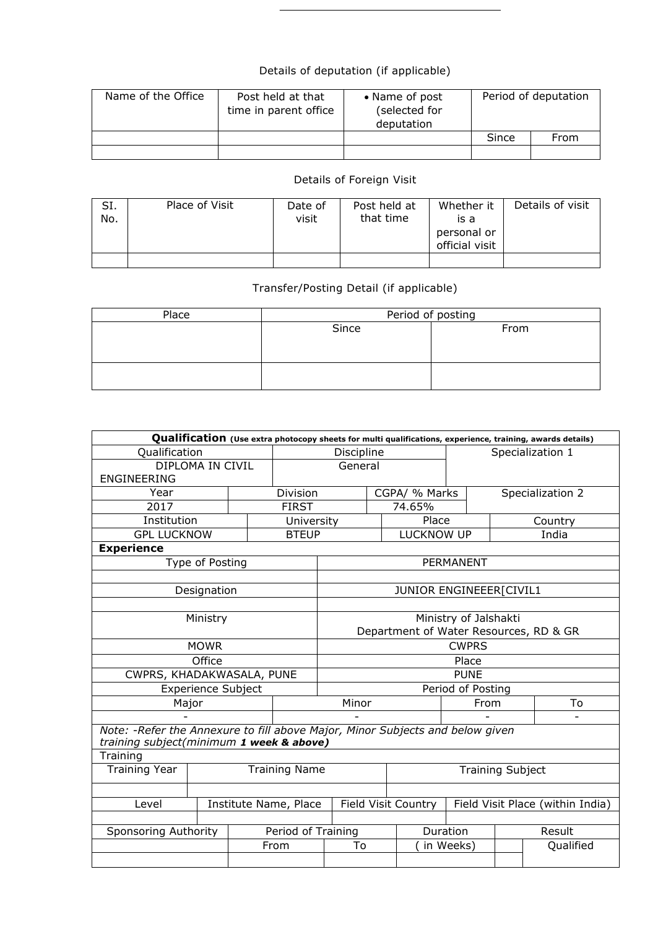## Details of deputation (if applicable)

| Name of the Office | Post held at that<br>time in parent office | • Name of post<br>(selected for<br>deputation | Period of deputation |      |  |
|--------------------|--------------------------------------------|-----------------------------------------------|----------------------|------|--|
|                    |                                            |                                               | Since                | From |  |
|                    |                                            |                                               |                      |      |  |

## Details of Foreign Visit

| SI.<br>No. | Place of Visit | Date of<br>visit | Post held at<br>that time | Whether it<br>is a<br>personal or<br>official visit | Details of visit |
|------------|----------------|------------------|---------------------------|-----------------------------------------------------|------------------|
|            |                |                  |                           |                                                     |                  |

## Transfer/Posting Detail (if applicable)

| Place | Period of posting |      |  |  |  |  |  |
|-------|-------------------|------|--|--|--|--|--|
|       | Since             | From |  |  |  |  |  |
|       |                   |      |  |  |  |  |  |
|       |                   |      |  |  |  |  |  |
|       |                   |      |  |  |  |  |  |
|       |                   |      |  |  |  |  |  |

| Qualification (Use extra photocopy sheets for multi qualifications, experience, training, awards details)                  |                           |  |                    |                                        |  |                          |                                  |  |                  |  |
|----------------------------------------------------------------------------------------------------------------------------|---------------------------|--|--------------------|----------------------------------------|--|--------------------------|----------------------------------|--|------------------|--|
| Qualification                                                                                                              |                           |  | Discipline         |                                        |  |                          | Specialization 1                 |  |                  |  |
| DIPLOMA IN CIVIL                                                                                                           |                           |  | General            |                                        |  |                          |                                  |  |                  |  |
| <b>ENGINEERING</b>                                                                                                         |                           |  |                    |                                        |  |                          |                                  |  |                  |  |
| Year                                                                                                                       | Division                  |  |                    | CGPA/ % Marks                          |  |                          |                                  |  | Specialization 2 |  |
| 2017                                                                                                                       |                           |  | <b>FIRST</b>       | 74.65%                                 |  |                          |                                  |  |                  |  |
| Institution                                                                                                                |                           |  | University         |                                        |  | Place                    |                                  |  | Country          |  |
| <b>GPL LUCKNOW</b>                                                                                                         |                           |  | <b>BTEUP</b>       |                                        |  | <b>LUCKNOW UP</b>        |                                  |  | India            |  |
| <b>Experience</b>                                                                                                          |                           |  |                    |                                        |  |                          |                                  |  |                  |  |
|                                                                                                                            | Type of Posting           |  |                    |                                        |  |                          | <b>PERMANENT</b>                 |  |                  |  |
|                                                                                                                            |                           |  |                    |                                        |  |                          |                                  |  |                  |  |
|                                                                                                                            | Designation               |  |                    |                                        |  | JUNIOR ENGINEEER [CIVIL1 |                                  |  |                  |  |
|                                                                                                                            |                           |  |                    |                                        |  |                          |                                  |  |                  |  |
|                                                                                                                            | Ministry                  |  |                    | Ministry of Jalshakti                  |  |                          |                                  |  |                  |  |
|                                                                                                                            |                           |  |                    | Department of Water Resources, RD & GR |  |                          |                                  |  |                  |  |
|                                                                                                                            | <b>MOWR</b>               |  |                    | <b>CWPRS</b>                           |  |                          |                                  |  |                  |  |
|                                                                                                                            | Office                    |  |                    |                                        |  |                          | Place                            |  |                  |  |
| CWPRS, KHADAKWASALA, PUNE                                                                                                  |                           |  |                    |                                        |  |                          | <b>PUNE</b>                      |  |                  |  |
|                                                                                                                            | <b>Experience Subject</b> |  |                    |                                        |  |                          | Period of Posting                |  |                  |  |
|                                                                                                                            | Major                     |  |                    | Minor                                  |  |                          | From                             |  | To               |  |
|                                                                                                                            |                           |  |                    |                                        |  |                          |                                  |  |                  |  |
| Note: - Refer the Annexure to fill above Major, Minor Subjects and below given<br>training subject(minimum 1 week & above) |                           |  |                    |                                        |  |                          |                                  |  |                  |  |
| Training                                                                                                                   |                           |  |                    |                                        |  |                          |                                  |  |                  |  |
| <b>Training Year</b><br><b>Training Name</b>                                                                               |                           |  |                    | <b>Training Subject</b>                |  |                          |                                  |  |                  |  |
|                                                                                                                            |                           |  |                    |                                        |  |                          |                                  |  |                  |  |
| Institute Name, Place<br>Level                                                                                             |                           |  |                    | <b>Field Visit Country</b>             |  |                          | Field Visit Place (within India) |  |                  |  |
|                                                                                                                            |                           |  |                    |                                        |  |                          |                                  |  |                  |  |
| Sponsoring Authority                                                                                                       |                           |  | Period of Training |                                        |  | Duration                 |                                  |  | Result           |  |
|                                                                                                                            |                           |  | From               | To                                     |  |                          | in Weeks)                        |  | Qualified        |  |
|                                                                                                                            |                           |  |                    |                                        |  |                          |                                  |  |                  |  |